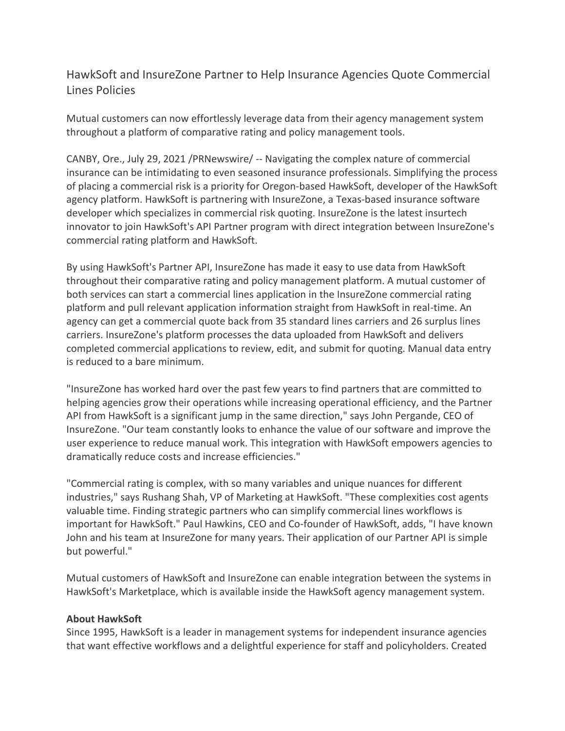## HawkSoft and InsureZone Partner to Help Insurance Agencies Quote Commercial Lines Policies

Mutual customers can now effortlessly leverage data from their agency management system throughout a platform of comparative rating and policy management tools.

CANBY, Ore., July 29, 2021 /PRNewswire/ -- Navigating the complex nature of commercial insurance can be intimidating to even seasoned insurance professionals. Simplifying the process of placing a commercial risk is a priority for Oregon-based HawkSoft, developer of the HawkSoft agency platform. HawkSoft is partnering with InsureZone, a Texas-based insurance software developer which specializes in commercial risk quoting. InsureZone is the latest insurtech innovator to join HawkSoft's API Partner program with direct integration between InsureZone's commercial rating platform and HawkSoft.

By using HawkSoft's Partner API, InsureZone has made it easy to use data from HawkSoft throughout their comparative rating and policy management platform. A mutual customer of both services can start a commercial lines application in the InsureZone commercial rating platform and pull relevant application information straight from HawkSoft in real-time. An agency can get a commercial quote back from 35 standard lines carriers and 26 surplus lines carriers. InsureZone's platform processes the data uploaded from HawkSoft and delivers completed commercial applications to review, edit, and submit for quoting. Manual data entry is reduced to a bare minimum.

"InsureZone has worked hard over the past few years to find partners that are committed to helping agencies grow their operations while increasing operational efficiency, and the Partner API from HawkSoft is a significant jump in the same direction," says John Pergande, CEO of InsureZone. "Our team constantly looks to enhance the value of our software and improve the user experience to reduce manual work. This integration with HawkSoft empowers agencies to dramatically reduce costs and increase efficiencies."

"Commercial rating is complex, with so many variables and unique nuances for different industries," says Rushang Shah, VP of Marketing at HawkSoft. "These complexities cost agents valuable time. Finding strategic partners who can simplify commercial lines workflows is important for HawkSoft." Paul Hawkins, CEO and Co-founder of HawkSoft, adds, "I have known John and his team at InsureZone for many years. Their application of our Partner API is simple but powerful."

Mutual customers of HawkSoft and InsureZone can enable integration between the systems in HawkSoft's Marketplace, which is available inside the HawkSoft agency management system.

## **About HawkSoft**

Since 1995, HawkSoft is a leader in management systems for independent insurance agencies that want effective workflows and a delightful experience for staff and policyholders. Created